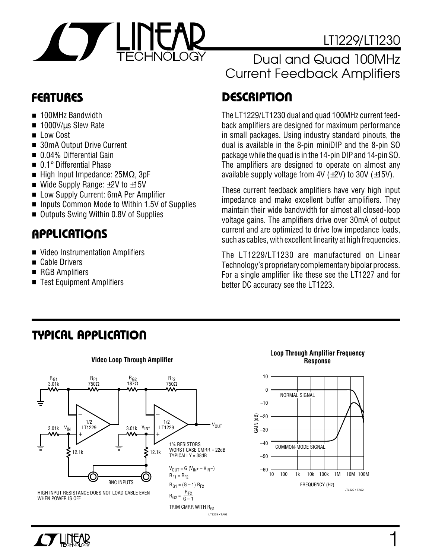

- 100MHz Bandwidth
- 1000V/us Slew Rate
- Low Cost
- 30mA Output Drive Current
- 0.04% Differential Gain
- 0.1° Differential Phase
- High Input Impedance: 25M $Ω$ , 3pF
- Wide Supply Range:  $±2V$  to  $±15V$
- Low Supply Current: 6mA Per Amplifier
- Inputs Common Mode to Within 1.5V of Supplies
- Outputs Swing Within 0.8V of Supplies

# **U A S O PPLICATI**

- Video Instrumentation Amplifiers
- Cable Drivers
- RGB Amplifiers
- Test Equipment Amplifiers

#### LT1229/LT1230 Dual and Quad 100MHz Current Feedback Amplifiers

# **D <sup>U</sup> FEATURES ESCRIPTIO**

The LT1229/LT1230 dual and quad 100MHz current feedback amplifiers are designed for maximum performance in small packages. Using industry standard pinouts, the dual is available in the 8-pin miniDIP and the 8-pin SO package while the quad is in the 14-pin DIP and 14-pin SO. The amplifiers are designed to operate on almost any available supply voltage from  $4V$  ( $\pm 2V$ ) to 30V ( $\pm 15V$ ).

These current feedback amplifiers have very high input impedance and make excellent buffer amplifiers. They maintain their wide bandwidth for almost all closed-loop voltage gains. The amplifiers drive over 30mA of output current and are optimized to drive low impedance loads, such as cables, with excellent linearity at high frequencies.

The LT1229/LT1230 are manufactured on Linear Technology's proprietary complementary bipolar process. For a single amplifier like these see the LT1227 and for better DC accuracy see the LT1223.

### **TYPICAL APPLICATION**







**TY LINEAR**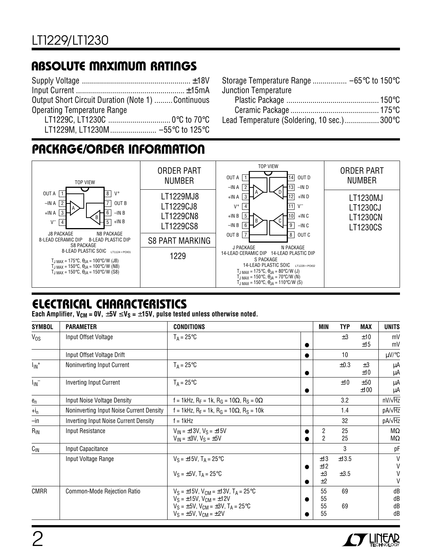### **ABSOLUTE MAXIMUM RATINGS**

| <b>Output Short Circuit Duration (Note 1)  Continuous</b> |  |
|-----------------------------------------------------------|--|
| <b>Operating Temperature Range</b>                        |  |
|                                                           |  |
|                                                           |  |

| <b>Junction Temperature</b>                  |  |
|----------------------------------------------|--|
|                                              |  |
|                                              |  |
| Lead Temperature (Soldering, 10 sec.)  300°C |  |

### **PACKAGE/ORDER INFORMATION**



### **ELECTRICAL CHARACTERISTICS**

Each Amplifier,  $V_{CM} = 0V$ ,  $\pm 5V \le V_S = \pm 15V$ , pulse tested unless otherwise noted.

| <b>SYMBOL</b>         | <b>PARAMETER</b>                         | <b>CONDITIONS</b>                                                                                                                                                                                    |            | <b>MIN</b>                       | <b>TYP</b>         | MAX            | <b>UNITS</b>         |
|-----------------------|------------------------------------------|------------------------------------------------------------------------------------------------------------------------------------------------------------------------------------------------------|------------|----------------------------------|--------------------|----------------|----------------------|
| V <sub>os</sub>       | Input Offset Voltage                     | $T_A = 25^{\circ}C$                                                                                                                                                                                  |            |                                  | $\pm 3$            | ±10<br>±15     | mV<br>mV             |
|                       | Input Offset Voltage Drift               |                                                                                                                                                                                                      |            |                                  | 10                 |                | $\mu$ V/°C           |
| $I_{IN}$ <sup>+</sup> | Noninverting Input Current               | $T_A = 25^{\circ}C$                                                                                                                                                                                  |            |                                  | $\pm 0.3$          | $\pm 3$<br>±10 | μA<br>μA             |
| $I_{\text{IN}}^-$     | <b>Inverting Input Current</b>           | $T_A = 25^{\circ}C$                                                                                                                                                                                  | $\epsilon$ |                                  | ±10                | ±50<br>±100    | μA<br>μA             |
| ${\bf e}_n$           | Input Noise Voltage Density              | f = 1kHz, R <sub>F</sub> = 1k, R <sub>G</sub> = 10 $\Omega$ , R <sub>S</sub> = 0 $\Omega$                                                                                                            |            |                                  | 3.2                |                | $nV/\sqrt{Hz}$       |
| $+i_n$                | Noninverting Input Noise Current Density | f = 1kHz, $R_F$ = 1k, $R_G$ = 10 $\Omega$ , $R_S$ = 10k                                                                                                                                              |            |                                  | 1.4                |                | $pA/\sqrt{Hz}$       |
| $-\mathsf{in}$        | Inverting Input Noise Current Density    | $f = 1$ kHz                                                                                                                                                                                          |            |                                  | 32                 |                | $pA/\sqrt{Hz}$       |
| $R_{IN}$              | Input Resistance                         | $V_{IN} = \pm 13V$ , $V_S = \pm 15V$<br>$V_{IN} = \pm 3V$ , $V_S = \pm 5V$                                                                                                                           |            | $\overline{c}$<br>$\mathfrak{p}$ | 25<br>25           |                | $M\Omega$<br>ΜΩ      |
| $C_{IN}$              | Input Capacitance                        |                                                                                                                                                                                                      |            |                                  | 3                  |                | рF                   |
|                       | Input Voltage Range                      | $V_S = \pm 15V$ , T <sub>A</sub> = 25°C<br>$V_S = \pm 5V$ , T <sub>A</sub> = 25°C                                                                                                                    |            | ±13<br>±12<br>$\pm 3$            | ±13.5<br>$\pm 3.5$ |                | V<br>V<br>V          |
|                       |                                          |                                                                                                                                                                                                      |            | ±2                               |                    |                | V                    |
| <b>CMRR</b>           | Common-Mode Rejection Ratio              | $V_S = \pm 15V$ , $V_{CM} = \pm 13V$ , $T_A = 25^{\circ}C$<br>$V_S = \pm 15V$ , $V_{CM} = \pm 12V$<br>$V_S = \pm 5V$ , $V_{CM} = \pm 3V$ , $T_A = 25^{\circ}C$<br>$V_S = \pm 5V$ , $V_{CM} = \pm 2V$ |            | 55<br>55<br>55<br>55             | 69<br>69           |                | dB<br>dB<br>dB<br>dB |

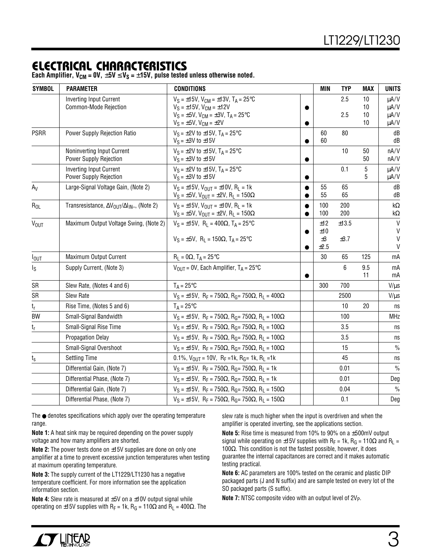#### **ELECTRICAL CHARACTERISTICS**

**Each Amplifier,**  $V_{CM} = 0V$ **,**  $\pm 5V \le V_S = \pm 15V$ **, pulse tested unless otherwise noted.** 

| <b>SYMBOL</b>    | <b>PARAMETER</b>                                                          | <b>CONDITIONS</b>                                                                                                                                                                                    | <b>MIN</b>               | <b>TYP</b>    | MAX                  | <b>UNITS</b>                      |
|------------------|---------------------------------------------------------------------------|------------------------------------------------------------------------------------------------------------------------------------------------------------------------------------------------------|--------------------------|---------------|----------------------|-----------------------------------|
|                  | <b>Inverting Input Current</b><br>Common-Mode Rejection                   | $V_S = \pm 15V$ , $V_{CM} = \pm 13V$ , $T_A = 25^{\circ}C$<br>$V_S = \pm 15V$ , $V_{CM} = \pm 12V$<br>$V_S = \pm 5V$ , $V_{CM} = \pm 3V$ , $T_A = 25^{\circ}C$<br>$V_S = \pm 5V$ , $V_{CM} = \pm 2V$ |                          | 2.5<br>2.5    | 10<br>10<br>10<br>10 | µA/V<br>µA/V<br>$\mu A/V$<br>µA/V |
| <b>PSRR</b>      | <b>Power Supply Rejection Ratio</b>                                       | $V_S = \pm 2V$ to $\pm 15V$ , T <sub>A</sub> = 25°C<br>$V_S = \pm 3V$ to $\pm 15V$                                                                                                                   | 60<br>60                 | 80            |                      | dB<br>dB                          |
|                  | Noninverting Input Current<br>Power Supply Rejection                      | $V_S = \pm 2V$ to $\pm 15V$ , T <sub>A</sub> = 25°C<br>$V_S = \pm 3V$ to $\pm 15V$                                                                                                                   |                          | 10            | 50<br>50             | nA/V<br>nA/V                      |
|                  | <b>Inverting Input Current</b><br>Power Supply Rejection                  | $V_S = \pm 2V$ to $\pm 15V$ , T <sub>A</sub> = 25°C<br>$V_S = \pm 3V$ to $\pm 15V$                                                                                                                   |                          | 0.1           | 5<br>5               | $\mu A/V$<br>µA/V                 |
| $A_V$            | Large-Signal Voltage Gain, (Note 2)                                       | $V_S = \pm 15V$ , $V_{OIII} = \pm 10V$ , $R_I = 1k$<br>$V_S = \pm 5V$ , $V_{OUT} = \pm 2V$ , $R_L = 150\Omega$                                                                                       | 55<br>55                 | 65<br>65      |                      | dB<br>dB                          |
| $R_{OL}$         | Transresistance, $\Delta V_{\text{OUT}}/\Delta I_{\text{IN}-}$ , (Note 2) | $V_S = \pm 15V$ , $V_{OIII} = \pm 10V$ , $R_I = 1k$<br>$V_S = \pm 5V$ , $V_{OUT} = \pm 2V$ , $R_L = 150\Omega$                                                                                       | 100<br>100               | 200<br>200    |                      | k $\Omega$<br>kΩ                  |
| <b>VOUT</b>      | Maximum Output Voltage Swing, (Note 2)                                    | $V_S = \pm 15V$ , $R_L = 400\Omega$ , $T_A = 25^{\circ}C$<br>$V_S = \pm 5V$ , R <sub>L</sub> = 150 $\Omega$ , T <sub>A</sub> = 25°C                                                                  | ±12<br>±10<br>±3<br>±2.5 | ±13.5<br>±3.7 |                      | V<br>$\vee$<br>V<br>$\mathsf{V}$  |
| $I_{\text{OUT}}$ | Maximum Output Current                                                    | $R_1 = 0\Omega$ , $T_A = 25^{\circ}C$                                                                                                                                                                | 30                       | 65            | 125                  | mA                                |
| Is               | Supply Current, (Note 3)                                                  | $V_{OIII}$ = 0V, Each Amplifier, $T_A$ = 25°C                                                                                                                                                        |                          | 6             | 9.5<br>11            | mA<br>mA                          |
| SR               | Slew Rate, (Notes 4 and 6)                                                | $T_A = 25^{\circ}C$                                                                                                                                                                                  | 300                      | 700           |                      | $V/\mu s$                         |
| SR               | <b>Slew Rate</b>                                                          | $V_S = \pm 15V$ , R <sub>F</sub> = 750Ω, R <sub>G</sub> = 750Ω, R <sub>I</sub> = 400Ω                                                                                                                |                          | 2500          |                      | $V/\mu s$                         |
| t <sub>r</sub>   | Rise Time, (Notes 5 and 6)                                                | $T_A = 25^{\circ}C$                                                                                                                                                                                  |                          | 10            | 20                   | ns                                |
| <b>BW</b>        | Small-Signal Bandwidth                                                    | $V_S = \pm 15V$ , R <sub>F</sub> = 750Ω, R <sub>G</sub> = 750Ω, R <sub>I</sub> = 100Ω                                                                                                                |                          | 100           |                      | <b>MHz</b>                        |
| $t_{\sf r}$      | Small-Signal Rise Time                                                    | $V_S = \pm 15V$ , R <sub>F</sub> = 750Ω, R <sub>G</sub> = 750Ω, R <sub>I</sub> = 100Ω                                                                                                                |                          | 3.5           |                      | ns                                |
|                  | <b>Propagation Delay</b>                                                  | $V_S = \pm 15V$ , R <sub>F</sub> = 750Ω, R <sub>G</sub> = 750Ω, R <sub>L</sub> = 100Ω                                                                                                                |                          | 3.5           |                      | ns                                |
|                  | Small-Signal Overshoot                                                    | $V_S = \pm 15V$ , R <sub>F</sub> = 750Ω, R <sub>G</sub> = 750Ω, R <sub>L</sub> = 100Ω                                                                                                                |                          | 15            |                      | $\%$                              |
| $t_{\rm s}$      | <b>Settling Time</b>                                                      | 0.1%, $V_{OUT}$ = 10V, $R_F$ = 1k, $R_G$ = 1k, $R_L$ = 1k                                                                                                                                            |                          | 45            |                      | ns                                |
|                  | Differential Gain, (Note 7)                                               | $V_S = \pm 15V$ , R <sub>F</sub> = 750Ω, R <sub>G</sub> = 750Ω, R <sub>L</sub> = 1k                                                                                                                  |                          | 0.01          |                      | $\frac{0}{0}$                     |
|                  | Differential Phase, (Note 7)                                              | $V_S = \pm 15V$ , $R_F = 750\Omega$ , $R_G = 750\Omega$ , $R_L = 1k$                                                                                                                                 |                          | 0.01          |                      | Deg                               |
|                  | Differential Gain, (Note 7)                                               | $V_S = \pm 15V$ , R <sub>F</sub> = 750Ω, R <sub>G</sub> = 750Ω, R <sub>L</sub> = 150Ω                                                                                                                |                          | 0.04          |                      | $\frac{0}{0}$                     |
|                  | Differential Phase, (Note 7)                                              | $V_S = \pm 15V$ , R <sub>F</sub> = 750Ω, R <sub>G</sub> = 750Ω, R <sub>I</sub> = 150Ω                                                                                                                |                          | 0.1           |                      | Deg                               |

The ● denotes specifications which apply over the operating temperature range.

**Note 1:** A heat sink may be required depending on the power supply voltage and how many amplifiers are shorted.

**Note 2:** The power tests done on ±15V supplies are done on only one amplifier at a time to prevent excessive junction temperatures when testing at maximum operating temperature.

**Note 3:** The supply current of the LT1229/LT1230 has a negative temperature coefficient. For more information see the application information section.

**Note 4:** Slew rate is measured at ±5V on a ±10V output signal while operating on ±15V supplies with R<sub>F</sub> = 1k, R<sub>G</sub> = 110Ω and R<sub>L</sub> = 400Ω. The slew rate is much higher when the input is overdriven and when the amplifier is operated inverting, see the applications section.

**Note 5:** Rise time is measured from 10% to 90% on a ±500mV output signal while operating on  $\pm 15V$  supplies with R<sub>F</sub> = 1k, R<sub>G</sub> = 110 $\Omega$  and R<sub>L</sub> = 100Ω. This condition is not the fastest possible, however, it does guarantee the internal capacitances are correct and it makes automatic testing practical.

**Note 6:** AC parameters are 100% tested on the ceramic and plastic DIP packaged parts (J and N suffix) and are sample tested on every lot of the SO packaged parts (S suffix).

**Note 7:** NTSC composite video with an output level of 2V<sub>P</sub>.

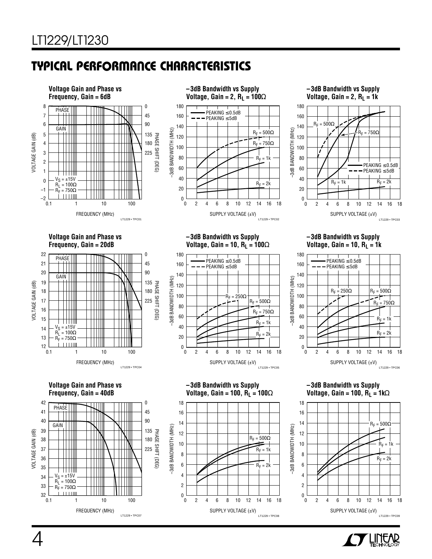#### **C C HARA TERISTICS U W TYPICAL PERFOR A CE**



SUPPLY VOLTAGE (±V)

0 2 4 6 8 10 12 14 16 18

12 16

LT1229 • TPC08

2

ا 0<br>0

2

 $\begin{smallmatrix}0&1\0&0\end{smallmatrix}$ 

0 2 4 6 8 10 12 14 16 18

12 16



 $^{32}_{0.1}$ 

FREQUENCY (MHz)

LT1229 • TPC07

0.1 10 100

1

SUPPLY VOLTAGE (±V) LT1229 • TPC09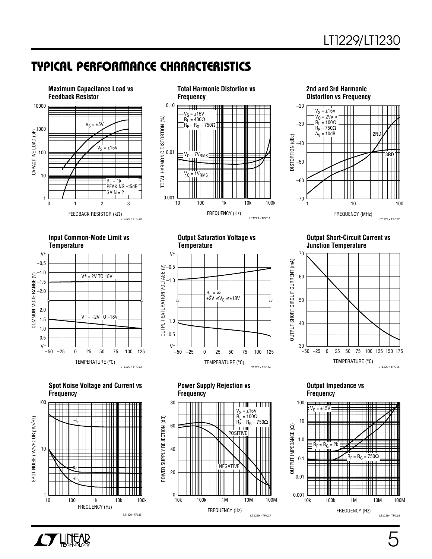#### **C C HARA TERISTICS U W TYPICAL PERFOR A CE**









Spot Noise Voltage and Current vs **Power Supply Rejection vs** Culput Impedance vs<br>Prequency Frequency Frequency Frequency **Frequency Frequency Frequency**





FREQUENCY (Hz)

LT1229 • TPC17

V<sub>S</sub> = ±15V<br>R<sub>L</sub> = 100Ω<br>R<sub>F</sub> = R<sub>G</sub> = 750Ω

 $\overline{\phantom{a}}$ 

10k 1M 10M 100M

nim<br>NEGATIVE

POSITIVE

POWER SUPPLY REJECTION (dB) 40

POWER SUPPLY REJECTION (dB)

0<br>10k

20

100k

80

60

**Input Common-Mode Limit vs Output Saturation Voltage vs Output Short-Circuit Current vs Temperature Temperature Junction Temperature**





#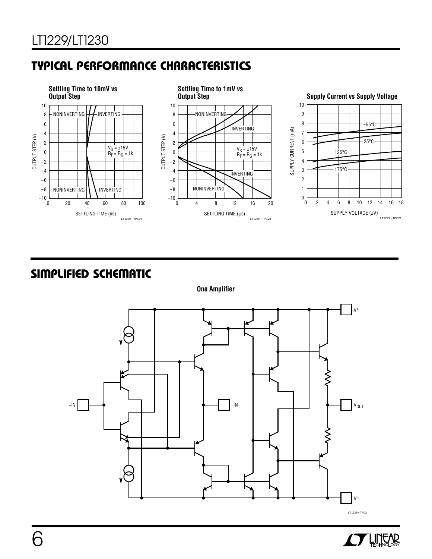### **C C HARA TERISTICS <sup>U</sup> <sup>W</sup> TYPICAL PERFOR A CE**



#### $S$  **IMPLIFIED** SCHEMATIC



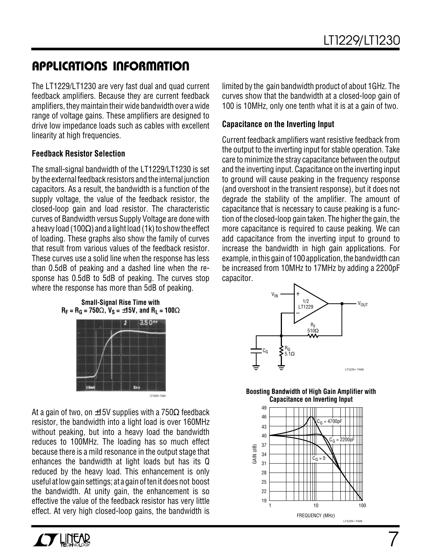### **U A S O PPLICATI W U U I FOR ATIO**

The LT1229/LT1230 are very fast dual and quad current feedback amplifiers. Because they are current feedback amplifiers, they maintain their wide bandwidth over a wide range of voltage gains. These amplifiers are designed to drive low impedance loads such as cables with excellent linearity at high frequencies.

#### **Feedback Resistor Selection**

The small-signal bandwidth of the LT1229/LT1230 is set by the external feedback resistors and the internal junction capacitors. As a result, the bandwidth is a function of the supply voltage, the value of the feedback resistor, the closed-loop gain and load resistor. The characteristic curves of Bandwidth versus Supply Voltage are done with a heavy load (100 $\Omega$ ) and a light load (1k) to show the effect of loading. These graphs also show the family of curves that result from various values of the feedback resistor. These curves use a solid line when the response has less than 0.5dB of peaking and a dashed line when the response has 0.5dB to 5dB of peaking. The curves stop where the response has more than 5dB of peaking.

limited by the gain bandwidth product of about 1GHz. The curves show that the bandwidth at a closed-loop gain of 100 is 10MHz, only one tenth what it is at a gain of two.

#### **Capacitance on the Inverting Input**

Current feedback amplifiers want resistive feedback from the output to the inverting input for stable operation. Take care to minimize the stray capacitance between the output and the inverting input. Capacitance on the inverting input to ground will cause peaking in the frequency response (and overshoot in the transient response), but it does not degrade the stability of the amplifier. The amount of capacitance that is necessary to cause peaking is a function of the closed-loop gain taken. The higher the gain, the more capacitance is required to cause peaking. We can add capacitance from the inverting input to ground to increase the bandwidth in high gain applications. For example, in this gain of 100 application, the bandwidth can be increased from 10MHz to 17MHz by adding a 2200pF capacitor.



**Boosting Bandwidth of High Gain Amplifier with Capacitance on Inverting Input**



7

**Small-Signal Rise Time with**  $R_F = R_G = 750\Omega$ ,  $V_S = \pm 15V$ , and  $R_L = 100\Omega$ 



At a gain of two, on  $\pm 15V$  supplies with a 750 $\Omega$  feedback resistor, the bandwidth into a light load is over 160MHz without peaking, but into a heavy load the bandwidth reduces to 100MHz. The loading has so much effect because there is a mild resonance in the output stage that enhances the bandwidth at light loads but has its Q reduced by the heavy load. This enhancement is only useful at low gain settings; at a gain of ten it does not boost the bandwidth. At unity gain, the enhancement is so effective the value of the feedback resistor has very little effect. At very high closed-loop gains, the bandwidth is

**TY LINEAR**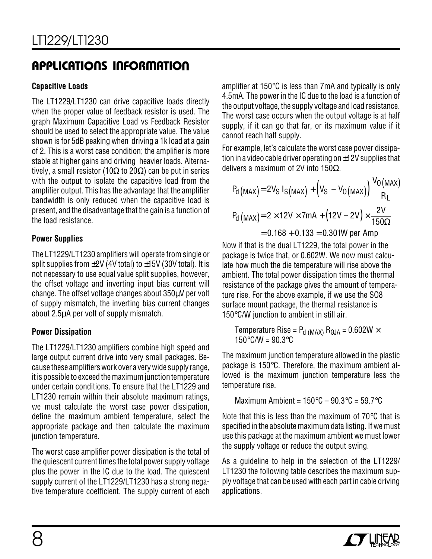### **APPLICATIONS INFORMATION**

#### **Capacitive Loads**

The LT1229/LT1230 can drive capacitive loads directly when the proper value of feedback resistor is used. The graph Maximum Capacitive Load vs Feedback Resistor should be used to select the appropriate value. The value shown is for 5dB peaking when driving a 1k load at a gain of 2. This is a worst case condition; the amplifier is more stable at higher gains and driving heavier loads. Alternatively, a small resistor (10 $\Omega$  to 20 $\Omega$ ) can be put in series with the output to isolate the capacitive load from the amplifier output. This has the advantage that the amplifier bandwidth is only reduced when the capacitive load is present, and the disadvantage that the gain is a function of the load resistance.

#### **Power Supplies**

The LT1229/LT1230 amplifiers will operate from single or split supplies from  $\pm$ 2V (4V total) to  $\pm$ 15V (30V total). It is not necessary to use equal value split supplies, however, the offset voltage and inverting input bias current will change. The offset voltage changes about 350µV per volt of supply mismatch, the inverting bias current changes about 2.5µA per volt of supply mismatch.

#### **Power Dissipation**

The LT1229/LT1230 amplifiers combine high speed and large output current drive into very small packages. Because these amplifiers work over a very wide supply range, it is possible to exceed the maximum junction temperature under certain conditions. To ensure that the LT1229 and LT1230 remain within their absolute maximum ratings, we must calculate the worst case power dissipation, define the maximum ambient temperature, select the appropriate package and then calculate the maximum junction temperature.

The worst case amplifier power dissipation is the total of the quiescent current times the total power supply voltage plus the power in the IC due to the load. The quiescent supply current of the LT1229/LT1230 has a strong negative temperature coefficient. The supply current of each

amplifier at 150°C is less than 7mA and typically is only 4.5mA. The power in the IC due to the load is a function of the output voltage, the supply voltage and load resistance. The worst case occurs when the output voltage is at half supply, if it can go that far, or its maximum value if it cannot reach half supply.

For example, let's calculate the worst case power dissipation in a video cable driver operating on ±12V supplies that delivers a maximum of 2V into 150Ω.

$$
P_{d \text{ (MAX)}} = 2V_{S} I_{S \text{ (MAX)}} + (V_{S} - V_{O \text{ (MAX)}}) \frac{V_{O \text{ (MAX)}}}{R_{L}}
$$

$$
P_{d \text{ (MAX)}} = 2 \times 12V \times 7mA + (12V - 2V) \times \frac{2V}{150\Omega}
$$

$$
= 0.168 + 0.133 = 0.301 \text{W per Amp}
$$

Now if that is the dual LT1229, the total power in the package is twice that, or 0.602W. We now must calculate how much the die temperature will rise above the ambient. The total power dissipation times the thermal resistance of the package gives the amount of temperature rise. For the above example, if we use the SO8 surface mount package, the thermal resistance is 150°C/W junction to ambient in still air.

Temperature Rise = 
$$
P_d
$$
 (MAX)  $R_{\theta JA} = 0.602W \times 150^{\circ}C/W = 90.3^{\circ}C$ 

The maximum junction temperature allowed in the plastic package is 150°C. Therefore, the maximum ambient allowed is the maximum junction temperature less the temperature rise.

Maximum Ambient = 
$$
150^{\circ}
$$
C -  $90.3^{\circ}$ C =  $59.7^{\circ}$ C

Note that this is less than the maximum of 70°C that is specified in the absolute maximum data listing. If we must use this package at the maximum ambient we must lower the supply voltage or reduce the output swing.

As a guideline to help in the selection of the LT1229/ LT1230 the following table describes the maximum supply voltage that can be used with each part in cable driving applications.

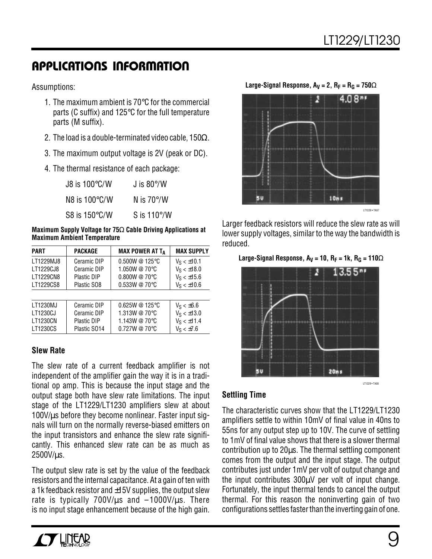### **U A S O PPLICATI W U U I FOR ATIO**

Assumptions:

- 1. The maximum ambient is 70°C for the commercial parts (C suffix) and 125°C for the full temperature parts (M suffix).
- 2. The load is a double-terminated video cable, 150 $\Omega$ .
- 3. The maximum output voltage is 2V (peak or DC).
- 4. The thermal resistance of each package:

| J8 is $100^{\circ}$ C/W | J is $80^{\circ}/W$  |
|-------------------------|----------------------|
| N8 is $100^{\circ}$ C/W | N is $70^{\circ}/W$  |
| S8 is $150^{\circ}$ C/W | S is $110^{\circ}/W$ |

**Maximum Supply Voltage for 75**Ω **Cable Driving Applications at Maximum Ambient Temperature**

| <b>PART</b>     | <b>PACKAGE</b> | <b>MAX POWER AT TA</b> | <b>MAX SUPPLY</b> |
|-----------------|----------------|------------------------|-------------------|
| LT1229MJ8       | Ceramic DIP    | 0.500W @ 125°C         | $V_S < \pm 10.1$  |
| LT1229CJ8       | Ceramic DIP    | 1.050W @ 70°C          | $V_S < \pm 18.0$  |
| LT1229CN8       | Plastic DIP    | 0.800W @ 70°C          | $V_S < \pm 15.6$  |
| LT1229CS8       | Plastic SO8    | 0.533W @ 70°C          | $V_S < \pm 10.6$  |
|                 |                |                        |                   |
| LT1230MJ        | Ceramic DIP    | 0.625W @ 125°C         | $V_S < \pm 6.6$   |
| LT1230CJ        | Ceramic DIP    | 1.313W @ 70°C          | $V_S < \pm 13.0$  |
| <b>LT1230CN</b> | Plastic DIP    | 1.143W @ 70°C          | $V_S < \pm 11.4$  |
| LT1230CS        | Plastic S014   | 0.727W @ 70°C          | $V_S < \pm 7.6$   |

#### **Slew Rate**

The slew rate of a current feedback amplifier is not independent of the amplifier gain the way it is in a traditional op amp. This is because the input stage and the output stage both have slew rate limitations. The input stage of the LT1229/LT1230 amplifiers slew at about  $100V/\mu s$  before they become nonlinear. Faster input signals will turn on the normally reverse-biased emitters on the input transistors and enhance the slew rate significantly. This enhanced slew rate can be as much as 2500V/µs.

The output slew rate is set by the value of the feedback resistors and the internal capacitance. At a gain of ten with a 1k feedback resistor and  $\pm$ 15V supplies, the output slew rate is typically 700V/ $\mu$ s and  $-1000$ V/ $\mu$ s. There is no input stage enhancement because of the high gain.





Larger feedback resistors will reduce the slew rate as will lower supply voltages, similar to the way the bandwidth is reduced.

Large-Signal Response,  $A_V = 10$ ,  $R_F = 1k$ ,  $R_G = 110\Omega$ 



#### **Settling Time**

The characteristic curves show that the LT1229/LT1230 amplifiers settle to within 10mV of final value in 40ns to 55ns for any output step up to 10V. The curve of settling to 1mV of final value shows that there is a slower thermal contribution up to 20µs. The thermal settling component comes from the output and the input stage. The output contributes just under 1mV per volt of output change and the input contributes 300µV per volt of input change. Fortunately, the input thermal tends to cancel the output thermal. For this reason the noninverting gain of two configurations settles faster than the inverting gain of one.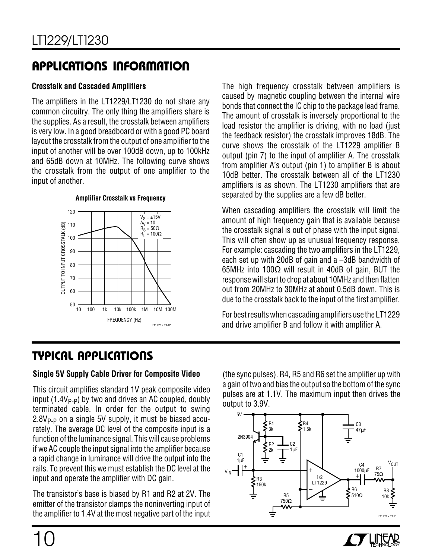### **U A S O PPLICATI W U U I FOR ATIO**

#### **Crosstalk and Cascaded Amplifiers**

The amplifiers in the LT1229/LT1230 do not share any common circuitry. The only thing the amplifiers share is the supplies. As a result, the crosstalk between amplifiers is very low. In a good breadboard or with a good PC board layout the crosstalk from the output of one amplifier to the input of another will be over 100dB down, up to 100kHz and 65dB down at 10MHz. The following curve shows the crosstalk from the output of one amplifier to the input of another.



The high frequency crosstalk between amplifiers is caused by magnetic coupling between the internal wire bonds that connect the IC chip to the package lead frame. The amount of crosstalk is inversely proportional to the load resistor the amplifier is driving, with no load (just the feedback resistor) the crosstalk improves 18dB. The curve shows the crosstalk of the LT1229 amplifier B output (pin 7) to the input of amplifier A. The crosstalk from amplifier A's output (pin 1) to amplifier B is about 10dB better. The crosstalk between all of the LT1230 amplifiers is as shown. The LT1230 amplifiers that are separated by the supplies are a few dB better.

When cascading amplifiers the crosstalk will limit the amount of high frequency gain that is available because the crosstalk signal is out of phase with the input signal. This will often show up as unusual frequency response. For example: cascading the two amplifiers in the LT1229, each set up with 20dB of gain and a –3dB bandwidth of 65MHz into 100 $\Omega$  will result in 40dB of gain, BUT the response will start to drop at about 10MHz and then flatten out from 20MHz to 30MHz at about 0.5dB down. This is due to the crosstalk back to the input of the first amplifier.

For best results when cascading amplifiers use the LT1229 and drive amplifier B and follow it with amplifier A.

### **<sup>U</sup> A S <sup>O</sup> TYPICAL PPLICATI**

#### **Single 5V Supply Cable Driver for Composite Video**

This circuit amplifies standard 1V peak composite video input  $(1.4V_{P-P})$  by two and drives an AC coupled, doubly terminated cable. In order for the output to swing  $2.8V_{P-P}$  on a single 5V supply, it must be biased accurately. The average DC level of the composite input is a function of the luminance signal. This will cause problems if we AC couple the input signal into the amplifier because a rapid change in luminance will drive the output into the rails. To prevent this we must establish the DC level at the input and operate the amplifier with DC gain.

The transistor's base is biased by R1 and R2 at 2V. The emitter of the transistor clamps the noninverting input of the amplifier to 1.4V at the most negative part of the input (the sync pulses). R4, R5 and R6 set the amplifier up with a gain of two and bias the output so the bottom of the sync pulses are at 1.1V. The maximum input then drives the output to 3.9V.



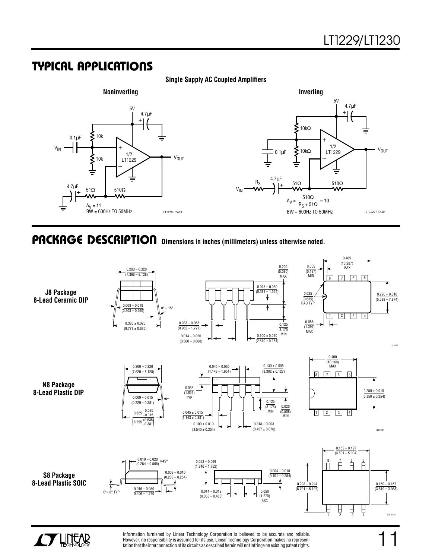#### **U A S O TYPICAL PPLICATI**



**Single Supply AC Coupled Amplifiers**

#### **Dimensions in inches (millimeters) unless otherwise noted. U PACKAGE DESCRIPTIO**

**J8 Package 8-Lead Ceramic DIP**







**N8 Package 8-Lead Plastic DIP**









Information furnished by Linear Technology Corporation is believed to be accurate and reliable. However, no responsibility is assumed for its use. Linear Technology Corporation makes no representation that the interconnection of its circuits as described herein will not infringe on existing patent rights. N8 0392

J8 0392